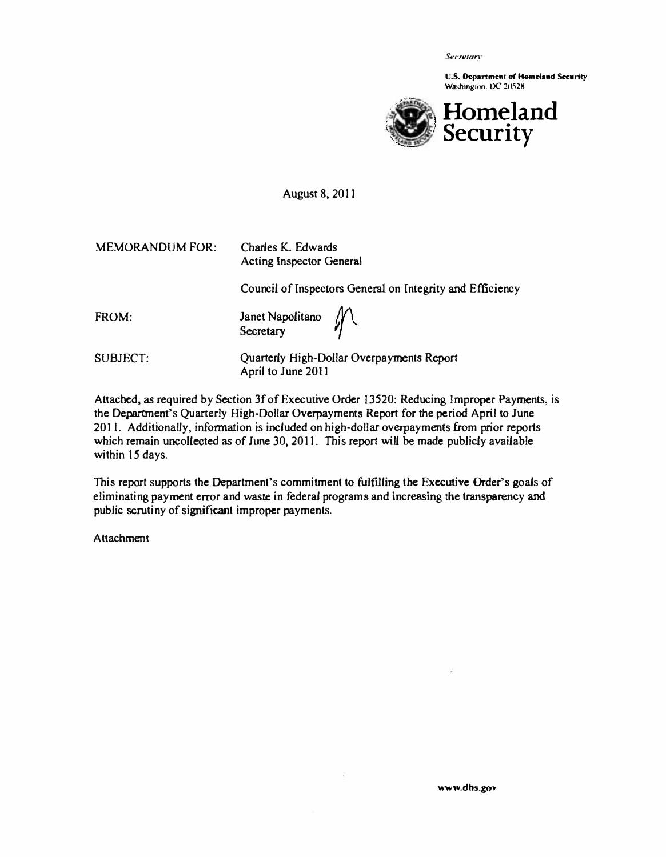Secretary

U.S. Department of Homeland Security Washington. DC 20528



August 8,2011

| <b>MEMORANDUM FOR:</b> | Charles K. Edwards<br><b>Acting Inspector General</b>           |
|------------------------|-----------------------------------------------------------------|
|                        | Council of Inspectors General on Integrity and Efficiency       |
| FROM:                  | Janet Napolitano $\mathcal{M}$                                  |
| SUBJECT:               | Quarterly High-Dollar Overpayments Report<br>April to June 2011 |

Attached, as required by Section 3f of Executive Order 13520: Reducing Improper Payments, is the Department's Quarterly High-Dollar Overpayments Report for the period April to June 2011. Additionally, infonnation is included on high-dollar overpayments from prior reports which remain uncollected as of June 30, 2011. This report will be made publicly available within 15 days.

This report supports the Department's commitment to fulfilling the Executive Order's goals of eliminating payment error and waste in federal programs and increasing the transparency and public scrutiny of significant improper payments.

**Attachment**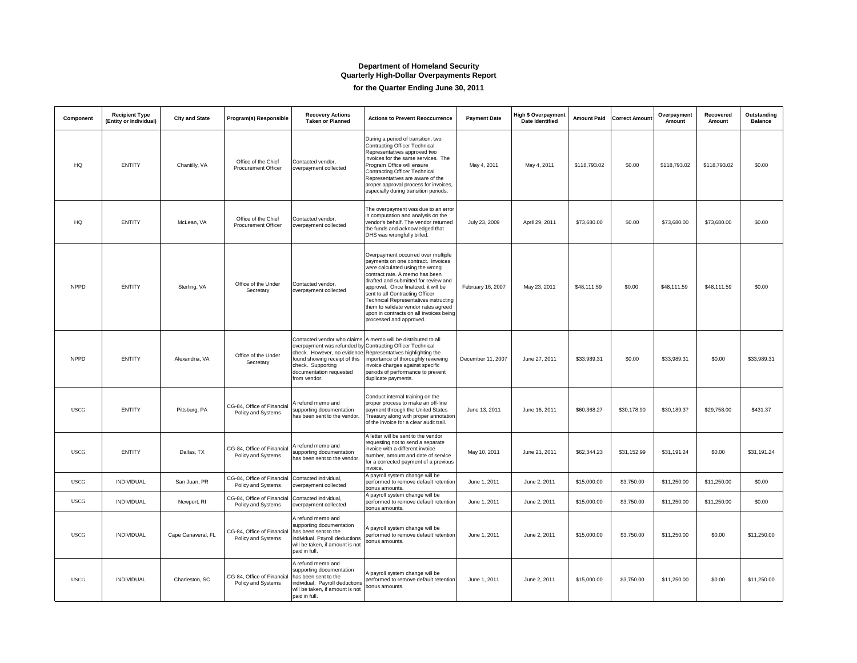## **Department of Homeland Security Quarterly High-Dollar Overpayments Report for the Quarter Ending June 30, 2011**

| <b>Component</b> | <b>Recipient Type</b><br>(Entity or Individual) | <b>City and State</b> | <b>Program(s) Responsible</b>                           | <b>Recovery Actions</b><br><b>Taken or Planned</b>                                                                                                          | <b>Actions to Prevent Reoccurrence</b>                                                                                                                                                                                                                                                                                                                                                                                         | <b>Payment Date</b> | High \$ Overpayment<br><b>Date Identified</b> |              | <b>Amount Paid   Correct Amount  </b> | Overpayment<br><b>Amount</b> | <b>Recovered</b><br><b>Amount</b> | <b>Outstanding</b><br><b>Balance</b> |
|------------------|-------------------------------------------------|-----------------------|---------------------------------------------------------|-------------------------------------------------------------------------------------------------------------------------------------------------------------|--------------------------------------------------------------------------------------------------------------------------------------------------------------------------------------------------------------------------------------------------------------------------------------------------------------------------------------------------------------------------------------------------------------------------------|---------------------|-----------------------------------------------|--------------|---------------------------------------|------------------------------|-----------------------------------|--------------------------------------|
| HQ               | <b>ENTITY</b>                                   | Chantilly, VA         | Office of the Chief<br><b>Procurement Officer</b>       | Contacted vendor,<br>overpayment collected                                                                                                                  | During a period of transition, two<br><b>Contracting Officer Technical</b><br>Representatives approved two<br>invoices for the same services. The<br><b>Program Office will ensure</b><br>Contracting Officer Technical<br>Representatives are aware of the<br>proper approval process for invoices,<br>especially during transition periods.                                                                                  | May 4, 2011         | May 4, 2011                                   | \$118,793.02 | \$0.00                                | \$118,793.02                 | \$118,793.02                      | \$0.00                               |
| HQ               | <b>ENTITY</b>                                   | McLean, VA            | Office of the Chief<br><b>Procurement Officer</b>       | Contacted vendor,<br>overpayment collected                                                                                                                  | The overpayment was due to an error<br>in computation and analysis on the<br>vendor's behalf. The vendor returned<br>the funds and acknowledged that<br>DHS was wrongfully billed.                                                                                                                                                                                                                                             | July 23, 2009       | April 29, 2011                                | \$73,680.00  | \$0.00                                | \$73,680.00                  | \$73,680.00                       | \$0.00                               |
| <b>NPPD</b>      | <b>ENTITY</b>                                   | Sterling, VA          | Office of the Under<br>Secretary                        | Contacted vendor,<br>overpayment collected                                                                                                                  | Overpayment occurred over multiple<br>payments on one contract. Invoices<br>were calculated using the wrong<br>contract rate. A memo has been<br>drafted and submitted for review and<br>approval. Once finalized, it will be<br>sent to all Contracting Officer<br><b>Technical Representatives instructing</b><br>them to validate vendor rates agreed<br>upon in contracts on all invoices being<br>processed and approved. | February 16, 2007   | May 23, 2011                                  | \$48,111.59  | \$0.00                                | \$48,111.59                  | \$48,111.59                       | \$0.00                               |
| <b>NPPD</b>      | <b>ENTITY</b>                                   | Alexandria, VA        | Office of the Under<br>Secretary                        | found showing receipt of this<br>check. Supporting<br>documentation requested<br>from vendor.                                                               | Contacted vendor who claims   A memo will be distributed to all<br>overpayment was refunded by Contracting Officer Technical<br>check. However, no evidence Representatives highlighting the<br>importance of thoroughly reviewing<br>invoice charges against specific<br>periods of performance to prevent<br>duplicate payments.                                                                                             | December 11, 2007   | June 27, 2011                                 | \$33,989.31  | \$0.00                                | \$33,989.31                  | \$0.00                            | \$33,989.31                          |
| <b>USCG</b>      | <b>ENTITY</b>                                   | Pittsburg, PA         | CG-84, Office of Financial<br><b>Policy and Systems</b> | A refund memo and<br>supporting documentation<br>has been sent to the vendor.                                                                               | Conduct internal training on the<br>proper process to make an off-line<br>payment through the United States<br><b>Treasury along with proper annotation</b><br>of the invoice for a clear audit trail.                                                                                                                                                                                                                         | June 13, 2011       | June 16, 2011                                 | \$60,368.27  | \$30,178.90                           | \$30,189.37                  | \$29,758.00                       | \$431.37                             |
| <b>USCG</b>      | <b>ENTITY</b>                                   | Dallas, TX            | CG-84, Office of Financial<br><b>Policy and Systems</b> | A refund memo and<br>supporting documentation<br>has been sent to the vendor.                                                                               | A letter will be sent to the vendor<br>requesting not to send a separate<br>invoice with a different invoice<br>number, amount and date of service<br>for a corrected payment of a previous<br>invoice.                                                                                                                                                                                                                        | May 10, 2011        | June 21, 2011                                 | \$62,344.23  | \$31,152.99                           | \$31,191.24                  | \$0.00                            | \$31,191.24                          |
| <b>USCG</b>      | <b>INDIVIDUAL</b>                               | San Juan, PR          | CG-84, Office of Financial<br><b>Policy and Systems</b> | Contacted individual,<br>overpayment collected                                                                                                              | A payroll system change will be<br>performed to remove default retention<br>bonus amounts.                                                                                                                                                                                                                                                                                                                                     | June 1, 2011        | June 2, 2011                                  | \$15,000.00  | \$3,750.00                            | \$11,250.00                  | \$11,250.00                       | \$0.00                               |
| <b>USCG</b>      | <b>INDIVIDUAL</b>                               | Newport, RI           | CG-84, Office of Financial<br><b>Policy and Systems</b> | Contacted individual,<br>overpayment collected                                                                                                              | A payroll system change will be<br>performed to remove default retention<br>bonus amounts.                                                                                                                                                                                                                                                                                                                                     | June 1, 2011        | June 2, 2011                                  | \$15,000.00  | \$3,750.00                            | \$11,250.00                  | \$11,250.00                       | \$0.00                               |
| <b>USCG</b>      | <b>INDIVIDUAL</b>                               | Cape Canaveral, FL    | CG-84, Office of Financial<br><b>Policy and Systems</b> | A refund memo and<br>supporting documentation<br>has been sent to the<br>individual. Payroll deductions<br>will be taken, if amount is not<br>paid in full. | A payroll system change will be<br>performed to remove default retention<br>bonus amounts.                                                                                                                                                                                                                                                                                                                                     | June 1, 2011        | June 2, 2011                                  | \$15,000.00  | \$3,750.00                            | \$11,250.00                  | \$0.00                            | \$11,250.00                          |
| <b>USCG</b>      | <b>INDIVIDUAL</b>                               | Charleston, SC        | CG-84, Office of Financial<br>Policy and Systems        | A refund memo and<br>supporting documentation<br>has been sent to the<br>individual. Payroll deductions<br>will be taken, if amount is not<br>paid in full. | A payroll system change will be<br>performed to remove default retention<br>bonus amounts.                                                                                                                                                                                                                                                                                                                                     | June 1, 2011        | June 2, 2011                                  | \$15,000.00  | \$3,750.00                            | \$11,250.00                  | \$0.00                            | \$11,250.00                          |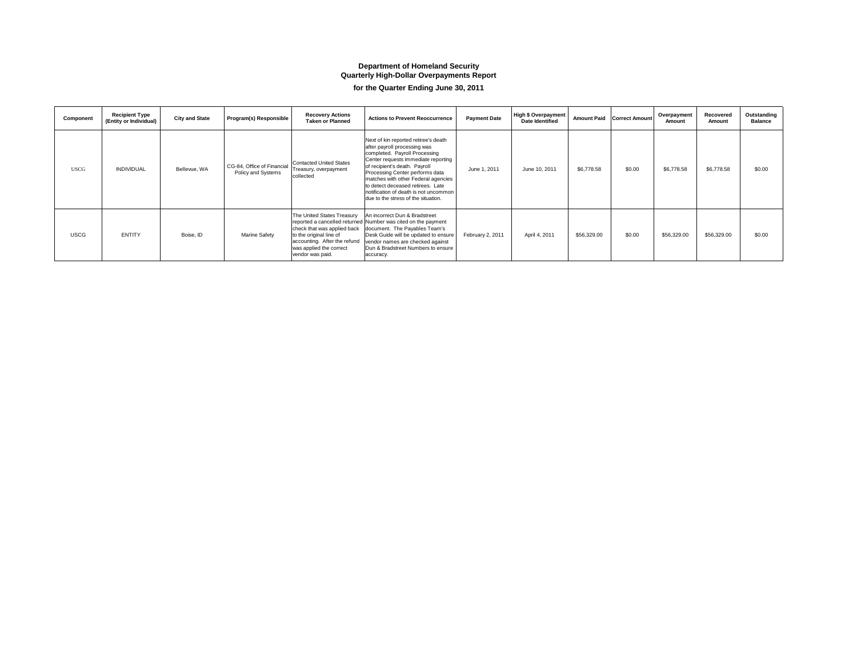## **Department of Homeland Security Quarterly High-Dollar Overpayments Report for the Quarter Ending June 30, 2011**

| <b>Component</b> | <b>Recipient Type</b><br>(Entity or Individual) | <b>City and State</b> | <b>Program(s) Responsible</b>                           | <b>Recovery Actions</b><br><b>Taken or Planned</b>                                                                                                                  | <b>Actions to Prevent Reoccurrence</b>                                                                                                                                                                                                                                                                                                                                       | <b>Payment Date</b> | High \$ Overpayment  <br><b>Date Identified</b> | <b>Amount Paid</b> | <b>Correct Amount</b> | Overpayment<br><b>Amount</b> | <b>Recovered</b><br><b>Amount</b> | Outstanding<br><b>Balance</b> |
|------------------|-------------------------------------------------|-----------------------|---------------------------------------------------------|---------------------------------------------------------------------------------------------------------------------------------------------------------------------|------------------------------------------------------------------------------------------------------------------------------------------------------------------------------------------------------------------------------------------------------------------------------------------------------------------------------------------------------------------------------|---------------------|-------------------------------------------------|--------------------|-----------------------|------------------------------|-----------------------------------|-------------------------------|
| <b>USCG</b>      | <b>INDIVIDUAL</b>                               | Bellevue, WA          | CG-84, Office of Financial<br><b>Policy and Systems</b> | <b>Contacted United States</b><br>Treasury, overpayment<br>collected                                                                                                | Next of kin reported retiree's death<br>after payroll processing was<br>completed. Payroll Processing<br>Center requests immediate reporting<br>of recipient's death. Payroll<br>Processing Center performs data<br>matches with other Federal agencies<br>to detect deceased retirees. Late<br>notification of death is not uncommon<br>due to the stress of the situation. | June 1, 2011        | June 10, 2011                                   | \$6,778.58         | \$0.00                | \$6,778.58                   | \$6,778.58                        | \$0.00                        |
| <b>USCG</b>      | <b>ENTITY</b>                                   | Boise, ID             | <b>Marine Safety</b>                                    | The United States Treasury<br>check that was applied back<br>to the original line of<br>accounting. After the refund<br>was applied the correct<br>vendor was paid. | An incorrect Dun & Bradstreet<br>reported a cancelled returned Number was cited on the payment<br>document. The Payables Team's<br>Desk Guide will be updated to ensure<br>vendor names are checked against<br>Dun & Bradstreet Numbers to ensure<br>accuracy.                                                                                                               | February 2, 2011    | April 4, 2011                                   | \$56,329.00        | \$0.00                | \$56,329.00                  | \$56,329.00                       | \$0.00                        |